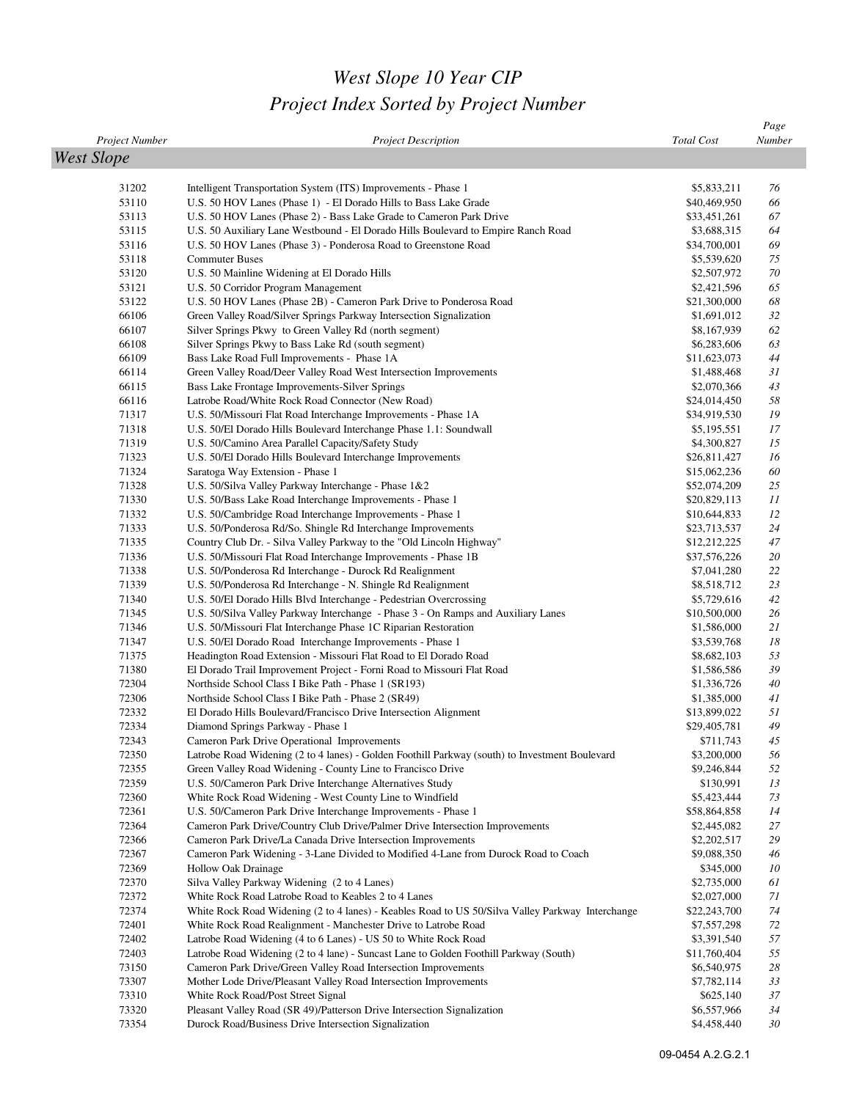## *West Slope 10 Year CIP Project Index Sorted by Project Number*

|                       |                                                                                                                                                      |                             | Page     |
|-----------------------|------------------------------------------------------------------------------------------------------------------------------------------------------|-----------------------------|----------|
| <b>Project Number</b> | <b>Project Description</b>                                                                                                                           | <b>Total Cost</b>           | Number   |
| <b>West Slope</b>     |                                                                                                                                                      |                             |          |
|                       |                                                                                                                                                      |                             |          |
| 31202                 | Intelligent Transportation System (ITS) Improvements - Phase 1                                                                                       | \$5,833,211                 | 76       |
| 53110                 | U.S. 50 HOV Lanes (Phase 1) - El Dorado Hills to Bass Lake Grade                                                                                     | \$40,469,950                | 66<br>67 |
| 53113<br>53115        | U.S. 50 HOV Lanes (Phase 2) - Bass Lake Grade to Cameron Park Drive                                                                                  | \$33,451,261<br>\$3,688,315 | 64       |
| 53116                 | U.S. 50 Auxiliary Lane Westbound - El Dorado Hills Boulevard to Empire Ranch Road<br>U.S. 50 HOV Lanes (Phase 3) - Ponderosa Road to Greenstone Road | \$34,700,001                | 69       |
| 53118                 | <b>Commuter Buses</b>                                                                                                                                | \$5,539,620                 | 75       |
| 53120                 | U.S. 50 Mainline Widening at El Dorado Hills                                                                                                         | \$2,507,972                 | 70       |
| 53121                 | U.S. 50 Corridor Program Management                                                                                                                  | \$2,421,596                 | 65       |
| 53122                 | U.S. 50 HOV Lanes (Phase 2B) - Cameron Park Drive to Ponderosa Road                                                                                  | \$21,300,000                | 68       |
| 66106                 | Green Valley Road/Silver Springs Parkway Intersection Signalization                                                                                  | \$1,691,012                 | 32       |
| 66107                 | Silver Springs Pkwy to Green Valley Rd (north segment)                                                                                               | \$8,167,939                 | 62       |
| 66108                 | Silver Springs Pkwy to Bass Lake Rd (south segment)                                                                                                  | \$6,283,606                 | 63       |
| 66109                 | Bass Lake Road Full Improvements - Phase 1A                                                                                                          | \$11,623,073                | 44       |
| 66114                 | Green Valley Road/Deer Valley Road West Intersection Improvements                                                                                    | \$1,488,468                 | 31       |
| 66115                 | Bass Lake Frontage Improvements-Silver Springs                                                                                                       | \$2,070,366                 | 43       |
| 66116                 | Latrobe Road/White Rock Road Connector (New Road)                                                                                                    | \$24,014,450                | 58       |
| 71317                 | U.S. 50/Missouri Flat Road Interchange Improvements - Phase 1A                                                                                       | \$34,919,530                | 19       |
| 71318                 | U.S. 50/El Dorado Hills Boulevard Interchange Phase 1.1: Soundwall                                                                                   | \$5,195,551                 | 17       |
| 71319                 | U.S. 50/Camino Area Parallel Capacity/Safety Study                                                                                                   | \$4,300,827                 | 15       |
| 71323                 | U.S. 50/El Dorado Hills Boulevard Interchange Improvements                                                                                           | \$26,811,427                | 16       |
| 71324                 | Saratoga Way Extension - Phase 1                                                                                                                     | \$15,062,236                | 60       |
| 71328                 | U.S. 50/Silva Valley Parkway Interchange - Phase 1&2                                                                                                 | \$52,074,209                | 25       |
| 71330                 | U.S. 50/Bass Lake Road Interchange Improvements - Phase 1                                                                                            | \$20,829,113                | 11       |
| 71332                 | U.S. 50/Cambridge Road Interchange Improvements - Phase 1                                                                                            | \$10,644,833                | 12       |
| 71333                 | U.S. 50/Ponderosa Rd/So. Shingle Rd Interchange Improvements                                                                                         | \$23,713,537                | 24       |
| 71335                 | Country Club Dr. - Silva Valley Parkway to the "Old Lincoln Highway"                                                                                 | \$12,212,225                | 47       |
| 71336<br>71338        | U.S. 50/Missouri Flat Road Interchange Improvements - Phase 1B<br>U.S. 50/Ponderosa Rd Interchange - Durock Rd Realignment                           | \$37,576,226                | 20<br>22 |
| 71339                 | U.S. 50/Ponderosa Rd Interchange - N. Shingle Rd Realignment                                                                                         | \$7,041,280<br>\$8,518,712  | 23       |
| 71340                 | U.S. 50/El Dorado Hills Blvd Interchange - Pedestrian Overcrossing                                                                                   | \$5,729,616                 | 42       |
| 71345                 | U.S. 50/Silva Valley Parkway Interchange - Phase 3 - On Ramps and Auxiliary Lanes                                                                    | \$10,500,000                | 26       |
| 71346                 | U.S. 50/Missouri Flat Interchange Phase 1C Riparian Restoration                                                                                      | \$1,586,000                 | 21       |
| 71347                 | U.S. 50/El Dorado Road Interchange Improvements - Phase 1                                                                                            | \$3,539,768                 | 18       |
| 71375                 | Headington Road Extension - Missouri Flat Road to El Dorado Road                                                                                     | \$8,682,103                 | 53       |
| 71380                 | El Dorado Trail Improvement Project - Forni Road to Missouri Flat Road                                                                               | \$1,586,586                 | 39       |
| 72304                 | Northside School Class I Bike Path - Phase 1 (SR193)                                                                                                 | \$1,336,726                 | 40       |
| 72306                 | Northside School Class I Bike Path - Phase 2 (SR49)                                                                                                  | \$1,385,000                 | 41       |
| 72332                 | El Dorado Hills Boulevard/Francisco Drive Intersection Alignment                                                                                     | \$13,899,022                | 51       |
| 72334                 | Diamond Springs Parkway - Phase 1                                                                                                                    | \$29,405,781                | 49       |
| 72343                 | Cameron Park Drive Operational Improvements                                                                                                          | \$711,743                   | 45       |
| 72350                 | Latrobe Road Widening (2 to 4 lanes) - Golden Foothill Parkway (south) to Investment Boulevard                                                       | \$3,200,000                 | 56       |
| 72355                 | Green Valley Road Widening - County Line to Francisco Drive                                                                                          | \$9,246,844                 | 52       |
| 72359                 | U.S. 50/Cameron Park Drive Interchange Alternatives Study                                                                                            | \$130,991                   | 13       |
| 72360                 | White Rock Road Widening - West County Line to Windfield                                                                                             | \$5,423,444                 | 73       |
| 72361                 | U.S. 50/Cameron Park Drive Interchange Improvements - Phase 1                                                                                        | \$58,864,858                | 14       |
| 72364                 | Cameron Park Drive/Country Club Drive/Palmer Drive Intersection Improvements                                                                         | \$2,445,082                 | 27       |
| 72366                 | Cameron Park Drive/La Canada Drive Intersection Improvements                                                                                         | \$2,202,517                 | 29       |
| 72367<br>72369        | Cameron Park Widening - 3-Lane Divided to Modified 4-Lane from Durock Road to Coach                                                                  | \$9,088,350                 | 46       |
| 72370                 | Hollow Oak Drainage<br>Silva Valley Parkway Widening (2 to 4 Lanes)                                                                                  | \$345,000<br>\$2,735,000    | 10<br>61 |
| 72372                 | White Rock Road Latrobe Road to Keables 2 to 4 Lanes                                                                                                 | \$2,027,000                 | 71       |
| 72374                 | White Rock Road Widening (2 to 4 lanes) - Keables Road to US 50/Silva Valley Parkway Interchange                                                     | \$22,243,700                | 74       |
| 72401                 | White Rock Road Realignment - Manchester Drive to Latrobe Road                                                                                       | \$7,557,298                 | 72       |
| 72402                 | Latrobe Road Widening (4 to 6 Lanes) - US 50 to White Rock Road                                                                                      | \$3,391,540                 | 57       |
| 72403                 | Latrobe Road Widening (2 to 4 lane) - Suncast Lane to Golden Foothill Parkway (South)                                                                | \$11,760,404                | 55       |
| 73150                 | Cameron Park Drive/Green Valley Road Intersection Improvements                                                                                       | \$6,540,975                 | 28       |
| 73307                 | Mother Lode Drive/Pleasant Valley Road Intersection Improvements                                                                                     | \$7,782,114                 | 33       |
| 73310                 | White Rock Road/Post Street Signal                                                                                                                   | \$625,140                   | 37       |
| 73320                 | Pleasant Valley Road (SR 49)/Patterson Drive Intersection Signalization                                                                              | \$6,557,966                 | 34       |
| 73354                 | Durock Road/Business Drive Intersection Signalization                                                                                                | \$4,458,440                 | 30       |